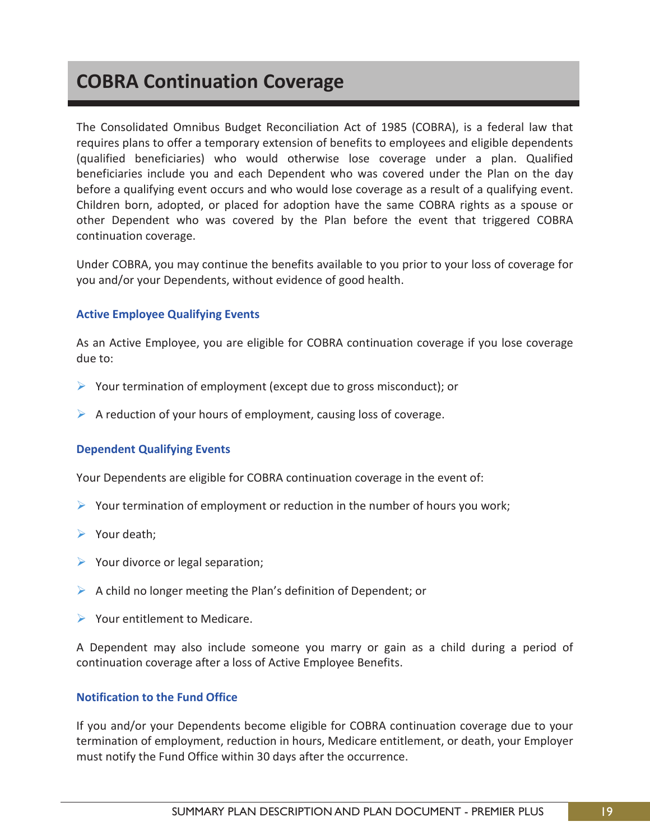# **COBRA Continuation Coverage**

The Consolidated Omnibus Budget Reconciliation Act of 1985 (COBRA), is a federal law that requires plans to offer a temporary extension of benefits to employees and eligible dependents (qualified beneficiaries) who would otherwise lose coverage under a plan. Qualified beneficiaries include you and each Dependent who was covered under the Plan on the day before a qualifying event occurs and who would lose coverage as a result of a qualifying event. Children born, adopted, or placed for adoption have the same COBRA rights as a spouse or other Dependent who was covered by the Plan before the event that triggered COBRA continuation coverage.

Under COBRA, you may continue the benefits available to you prior to your loss of coverage for you and/or your Dependents, without evidence of good health.

# **Active Employee Qualifying Events**

As an Active Employee, you are eligible for COBRA continuation coverage if you lose coverage due to:

- $\triangleright$  Your termination of employment (except due to gross misconduct); or
- $\triangleright$  A reduction of your hours of employment, causing loss of coverage.

# **Dependent Qualifying Events**

Your Dependents are eligible for COBRA continuation coverage in the event of:

- $\triangleright$  Your termination of employment or reduction in the number of hours you work;
- $\triangleright$  Your death;
- $\triangleright$  Your divorce or legal separation;
- $\triangleright$  A child no longer meeting the Plan's definition of Dependent; or
- ▶ Your entitlement to Medicare.

A Dependent may also include someone you marry or gain as a child during a period of continuation coverage after a loss of Active Employee Benefits.

# **Notification to the Fund Office**

If you and/or your Dependents become eligible for COBRA continuation coverage due to your termination of employment, reduction in hours, Medicare entitlement, or death, your Employer must notify the Fund Office within 30 days after the occurrence.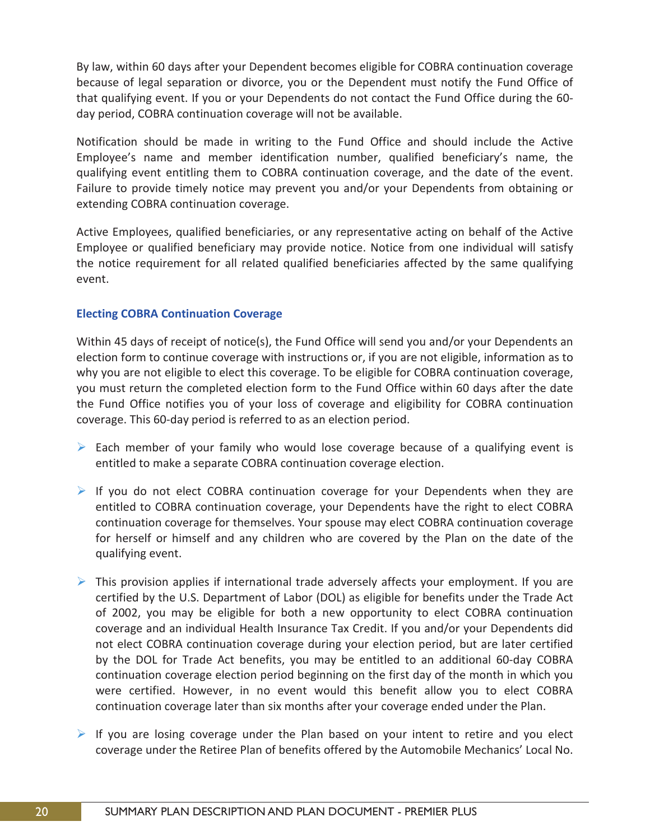By law, within 60 days after your Dependent becomes eligible for COBRA continuation coverage because of legal separation or divorce, you or the Dependent must notify the Fund Office of that qualifying event. If you or your Dependents do not contact the Fund Office during the 60 day period, COBRA continuation coverage will not be available.

Notification should be made in writing to the Fund Office and should include the Active Employee's name and member identification number, qualified beneficiary's name, the qualifying event entitling them to COBRA continuation coverage, and the date of the event. Failure to provide timely notice may prevent you and/or your Dependents from obtaining or extending COBRA continuation coverage.

Active Employees, qualified beneficiaries, or any representative acting on behalf of the Active Employee or qualified beneficiary may provide notice. Notice from one individual will satisfy the notice requirement for all related qualified beneficiaries affected by the same qualifying event.

# **Electing COBRA Continuation Coverage**

Within 45 days of receipt of notice(s), the Fund Office will send you and/or your Dependents an election form to continue coverage with instructions or, if you are not eligible, information as to why you are not eligible to elect this coverage. To be eligible for COBRA continuation coverage, you must return the completed election form to the Fund Office within 60 days after the date the Fund Office notifies you of your loss of coverage and eligibility for COBRA continuation coverage. This 60-day period is referred to as an election period.

- $\triangleright$  Each member of your family who would lose coverage because of a qualifying event is entitled to make a separate COBRA continuation coverage election.
- If you do not elect COBRA continuation coverage for your Dependents when they are entitled to COBRA continuation coverage, your Dependents have the right to elect COBRA continuation coverage for themselves. Your spouse may elect COBRA continuation coverage for herself or himself and any children who are covered by the Plan on the date of the qualifying event.
- $\triangleright$  This provision applies if international trade adversely affects your employment. If you are certified by the U.S. Department of Labor (DOL) as eligible for benefits under the Trade Act of 2002, you may be eligible for both a new opportunity to elect COBRA continuation coverage and an individual Health Insurance Tax Credit. If you and/or your Dependents did not elect COBRA continuation coverage during your election period, but are later certified by the DOL for Trade Act benefits, you may be entitled to an additional 60-day COBRA continuation coverage election period beginning on the first day of the month in which you were certified. However, in no event would this benefit allow you to elect COBRA continuation coverage later than six months after your coverage ended under the Plan.
- $\triangleright$  If you are losing coverage under the Plan based on your intent to retire and you elect coverage under the Retiree Plan of benefits offered by the Automobile Mechanics' Local No.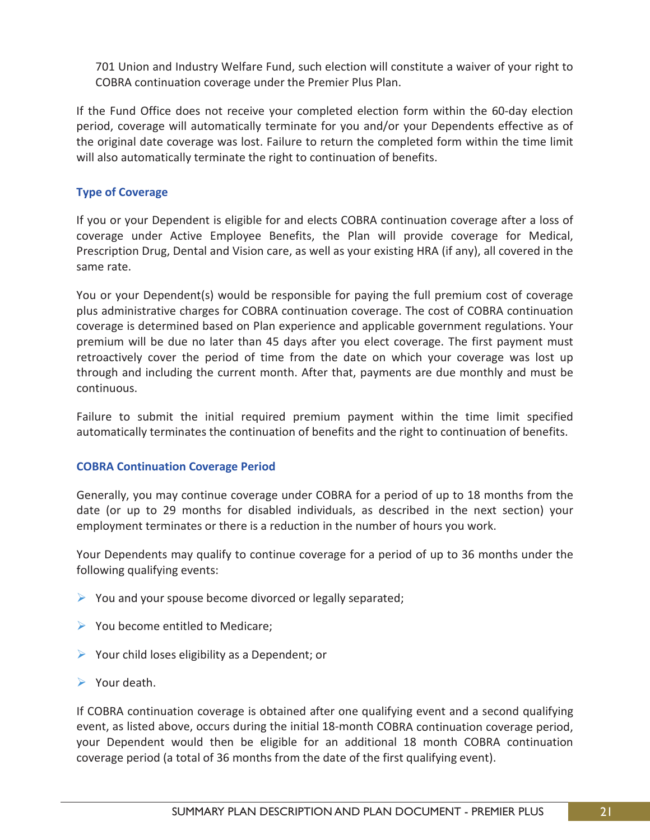701 Union and Industry Welfare Fund, such election will constitute a waiver of your right to COBRA continuation coverage under the Premier Plus Plan.

If the Fund Office does not receive your completed election form within the 60-day election period, coverage will automatically terminate for you and/or your Dependents effective as of the original date coverage was lost. Failure to return the completed form within the time limit will also automatically terminate the right to continuation of benefits.

# **Type of Coverage**

If you or your Dependent is eligible for and elects COBRA continuation coverage after a loss of coverage under Active Employee Benefits, the Plan will provide coverage for Medical, Prescription Drug, Dental and Vision care, as well as your existing HRA (if any), all covered in the same rate.

You or your Dependent(s) would be responsible for paying the full premium cost of coverage plus administrative charges for COBRA continuation coverage. The cost of COBRA continuation coverage is determined based on Plan experience and applicable government regulations. Your premium will be due no later than 45 days after you elect coverage. The first payment must retroactively cover the period of time from the date on which your coverage was lost up through and including the current month. After that, payments are due monthly and must be continuous.

Failure to submit the initial required premium payment within the time limit specified automatically terminates the continuation of benefits and the right to continuation of benefits.

# **COBRA Continuation Coverage Period**

Generally, you may continue coverage under COBRA for a period of up to 18 months from the date (or up to 29 months for disabled individuals, as described in the next section) your employment terminates or there is a reduction in the number of hours you work.

Your Dependents may qualify to continue coverage for a period of up to 36 months under the following qualifying events:

- $\triangleright$  You and your spouse become divorced or legally separated;
- $\triangleright$  You become entitled to Medicare;
- $\triangleright$  Your child loses eligibility as a Dependent; or
- $\triangleright$  Your death.

If COBRA continuation coverage is obtained after one qualifying event and a second qualifying event, as listed above, occurs during the initial 18-month COBRA continuation coverage period, your Dependent would then be eligible for an additional 18 month COBRA continuation coverage period (a total of 36 months from the date of the first qualifying event).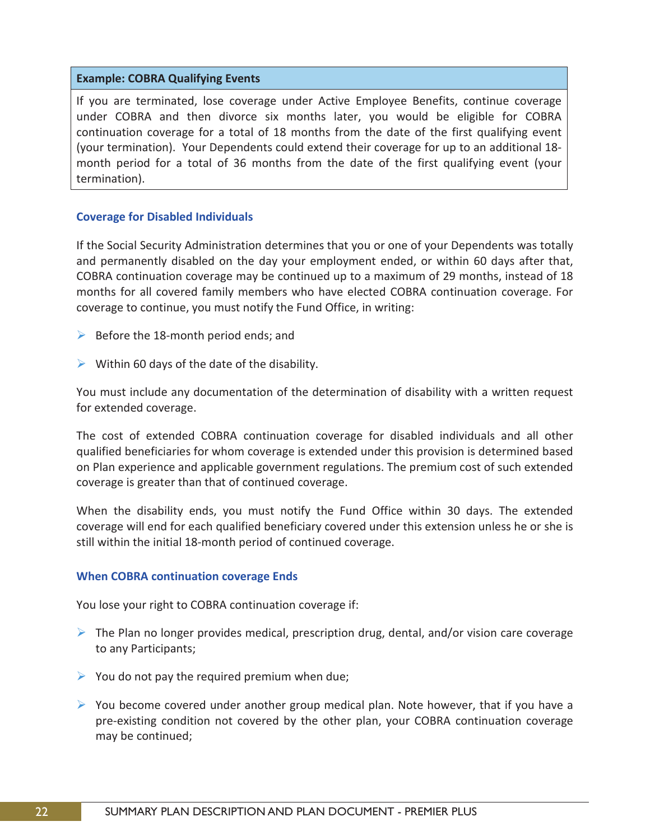#### **Example: COBRA Qualifying Events**

If you are terminated, lose coverage under Active Employee Benefits, continue coverage under COBRA and then divorce six months later, you would be eligible for COBRA continuation coverage for a total of 18 months from the date of the first qualifying event (your termination). Your Dependents could extend their coverage for up to an additional 18 month period for a total of 36 months from the date of the first qualifying event (your termination).

#### **Coverage for Disabled Individuals**

If the Social Security Administration determines that you or one of your Dependents was totally and permanently disabled on the day your employment ended, or within 60 days after that, COBRA continuation coverage may be continued up to a maximum of 29 months, instead of 18 months for all covered family members who have elected COBRA continuation coverage. For coverage to continue, you must notify the Fund Office, in writing:

- $\triangleright$  Before the 18-month period ends; and
- $\triangleright$  Within 60 days of the date of the disability.

You must include any documentation of the determination of disability with a written request for extended coverage.

The cost of extended COBRA continuation coverage for disabled individuals and all other qualified beneficiaries for whom coverage is extended under this provision is determined based on Plan experience and applicable government regulations. The premium cost of such extended coverage is greater than that of continued coverage.

When the disability ends, you must notify the Fund Office within 30 days. The extended coverage will end for each qualified beneficiary covered under this extension unless he or she is still within the initial 18-month period of continued coverage.

# **When COBRA continuation coverage Ends**

You lose your right to COBRA continuation coverage if:

- $\triangleright$  The Plan no longer provides medical, prescription drug, dental, and/or vision care coverage to any Participants;
- $\triangleright$  You do not pay the required premium when due;
- $\triangleright$  You become covered under another group medical plan. Note however, that if you have a pre-existing condition not covered by the other plan, your COBRA continuation coverage may be continued;